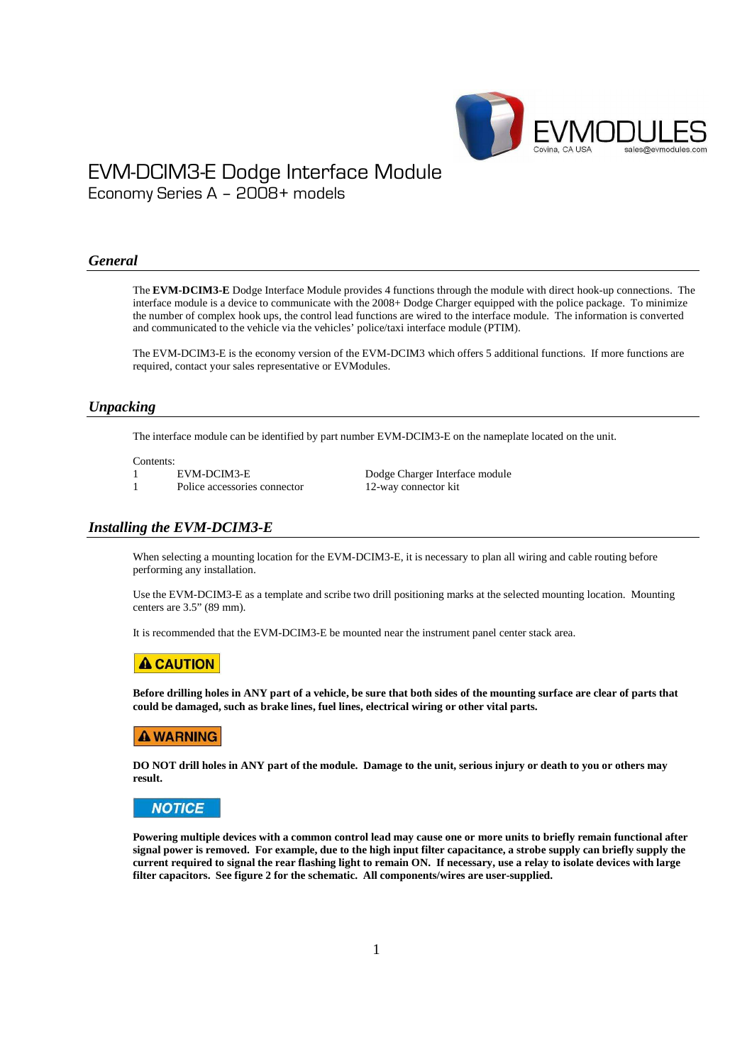

# EVM-DCIM3-E Dodge Interface Module

Economy Series A – 2008+ models

#### *General*

The **EVM-DCIM3-E** Dodge Interface Module provides 4 functions through the module with direct hook-up connections. The interface module is a device to communicate with the 2008+ Dodge Charger equipped with the police package. To minimize the number of complex hook ups, the control lead functions are wired to the interface module. The information is converted and communicated to the vehicle via the vehicles' police/taxi interface module (PTIM).

The EVM-DCIM3-E is the economy version of the EVM-DCIM3 which offers 5 additional functions. If more functions are required, contact your sales representative or EVModules.

#### *Unpacking*

The interface module can be identified by part number EVM-DCIM3-E on the nameplate located on the unit.

Contents:

1 Police accessories connector 12-way connector kit

1 EVM-DCIM3-E Dodge Charger Interface module

#### *Installing the EVM-DCIM3-E*

When selecting a mounting location for the EVM-DCIM3-E, it is necessary to plan all wiring and cable routing before performing any installation.

Use the EVM-DCIM3-E as a template and scribe two drill positioning marks at the selected mounting location. Mounting centers are 3.5" (89 mm).

It is recommended that the EVM-DCIM3-E be mounted near the instrument panel center stack area.

## **A CAUTION**

**Before drilling holes in ANY part of a vehicle, be sure that both sides of the mounting surface are clear of parts that could be damaged, such as brake lines, fuel lines, electrical wiring or other vital parts.** 

## **A WARNING**

**DO NOT drill holes in ANY part of the module. Damage to the unit, serious injury or death to you or others may result.**

## **NOTICE**

**Powering multiple devices with a common control lead may cause one or more units to briefly remain functional after signal power is removed. For example, due to the high input filter capacitance, a strobe supply can briefly supply the current required to signal the rear flashing light to remain ON. If necessary, use a relay to isolate devices with large filter capacitors. See figure 2 for the schematic. All components/wires are user-supplied.**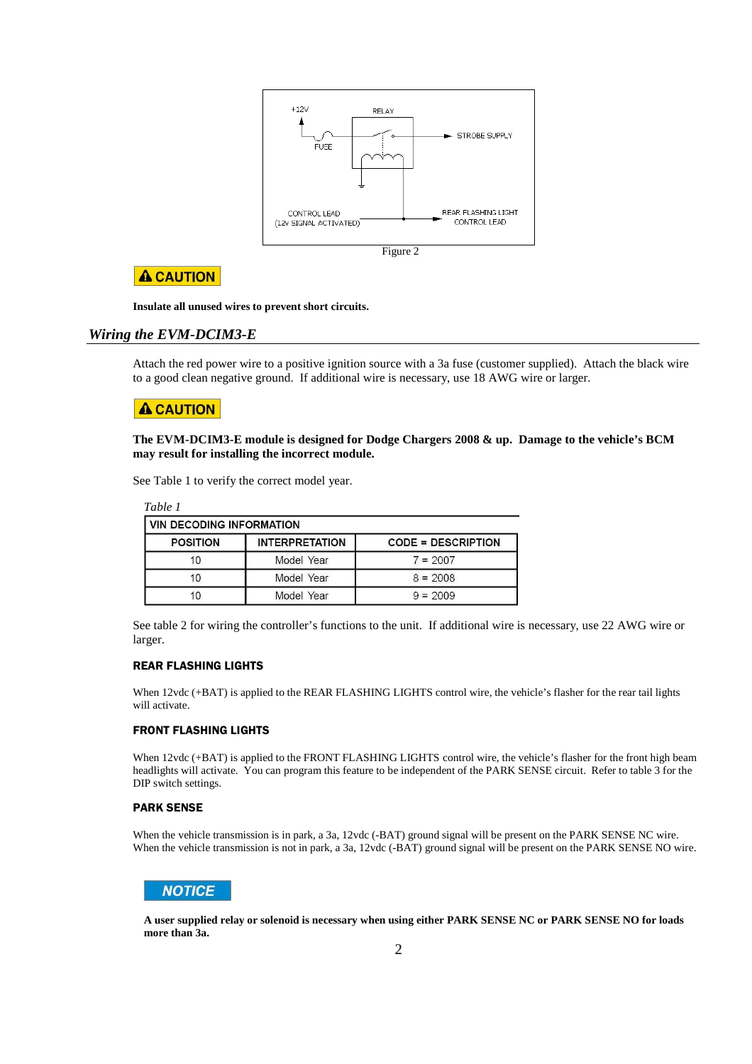

## **A CAUTION**

**Insulate all unused wires to prevent short circuits.** 

### *Wiring the EVM-DCIM3-E*

Attach the red power wire to a positive ignition source with a 3a fuse (customer supplied). Attach the black wire to a good clean negative ground. If additional wire is necessary, use 18 AWG wire or larger.

## **A CAUTION**

#### **The EVM-DCIM3-E module is designed for Dodge Chargers 2008 & up. Damage to the vehicle's BCM may result for installing the incorrect module.**

See Table 1 to verify the correct model year.

| <b>VIN DECODING INFORMATION</b> |                       |                           |  |  |  |
|---------------------------------|-----------------------|---------------------------|--|--|--|
| <b>POSITION</b>                 | <b>INTERPRETATION</b> | <b>CODE = DESCRIPTION</b> |  |  |  |
| 10                              | Model Year            | $7 = 2007$                |  |  |  |
| 10                              | Model Year            | $8 = 2008$                |  |  |  |
| 10                              | Model Year            | $9 = 2009$                |  |  |  |

See table 2 for wiring the controller's functions to the unit. If additional wire is necessary, use 22 AWG wire or larger.

#### REAR FLASHING LIGHTS

When 12vdc (+BAT) is applied to the REAR FLASHING LIGHTS control wire, the vehicle's flasher for the rear tail lights will activate.

#### FRONT FLASHING LIGHTS

When  $12$ vdc (+BAT) is applied to the FRONT FLASHING LIGHTS control wire, the vehicle's flasher for the front high beam headlights will activate. You can program this feature to be independent of the PARK SENSE circuit. Refer to table 3 for the DIP switch settings.

#### PARK SENSE

When the vehicle transmission is in park, a 3a, 12vdc (-BAT) ground signal will be present on the PARK SENSE NC wire. When the vehicle transmission is not in park, a 3a, 12vdc (-BAT) ground signal will be present on the PARK SENSE NO wire.



**A user supplied relay or solenoid is necessary when using either PARK SENSE NC or PARK SENSE NO for loads more than 3a.**